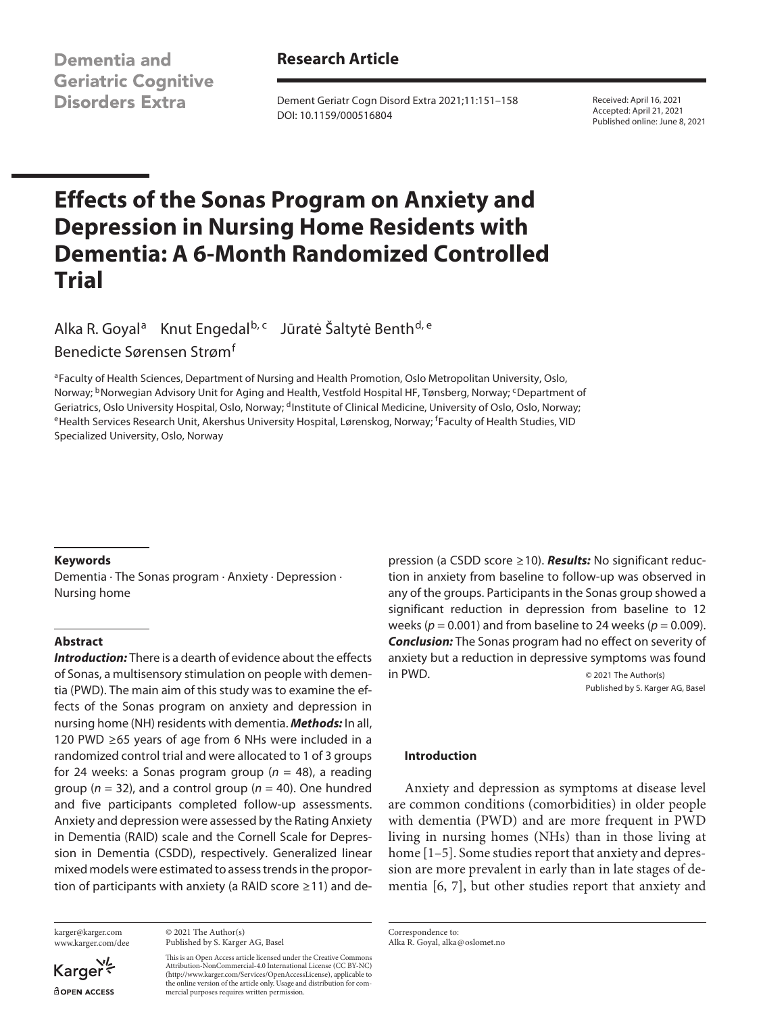**Dementia and Geriatric Cognitive Disorders Extra** 

# **Research Article**

Dement Geriatr Cogn Disord Extra 2021;11:151–158 DOI: 10.1159/000516804

Received: April 16, 2021 Accepted: April 21, 2021 Published online: June 8, 2021

# **Effects of the Sonas Program on Anxiety and Depression in Nursing Home Residents with Dementia: A 6-Month Randomized Controlled Trial**

Alka R. Goyal<sup>a</sup> Knut Engedal<sup>b, c</sup> Jūratė Šaltytė Benth<sup>d, e</sup> Benedicte Sørensen Strøm<sup>f</sup>

aFaculty of Health Sciences, Department of Nursing and Health Promotion, Oslo Metropolitan University, Oslo, Norway; <sup>b</sup>Norwegian Advisory Unit for Aging and Health, Vestfold Hospital HF, Tønsberg, Norway; <sup>c</sup>Department of Geriatrics, Oslo University Hospital, Oslo, Norway; <sup>d</sup>Institute of Clinical Medicine, University of Oslo, Oslo, Norway;<br><sup>e</sup>Health Services Research Unit, Akershus University Hospital, Lørenskog, Norway; <sup>f</sup>Faculty of Heal Specialized University, Oslo, Norway

## **Keywords**

Dementia · The Sonas program · Anxiety · Depression · Nursing home

## **Abstract**

*Introduction:* There is a dearth of evidence about the effects of Sonas, a multisensory stimulation on people with dementia (PWD). The main aim of this study was to examine the effects of the Sonas program on anxiety and depression in nursing home (NH) residents with dementia. *Methods:* In all, 120 PWD ≥65 years of age from 6 NHs were included in a randomized control trial and were allocated to 1 of 3 groups for 24 weeks: a Sonas program group (*n* = 48), a reading group (*n* = 32), and a control group (*n* = 40). One hundred and five participants completed follow-up assessments. Anxiety and depression were assessed by the Rating Anxiety in Dementia (RAID) scale and the Cornell Scale for Depression in Dementia (CSDD), respectively. Generalized linear mixed models were estimated to assess trends in the proportion of participants with anxiety (a RAID score ≥11) and de-

karger@karger.com www.karger.com/dee

Karger **ROPEN ACCESS** 

© 2021 The Author(s) Published by S. Karger AG, Basel

This is an Open Access article licensed under the Creative Commons Attribution-NonCommercial-4.0 International License (CC BY-NC) (http://www.karger.com/Services/OpenAccessLicense), applicable to the online version of the article only. Usage and distribution for commercial purposes requires written permission.

pression (a CSDD score ≥10). *Results:* No significant reduction in anxiety from baseline to follow-up was observed in any of the groups. Participants in the Sonas group showed a significant reduction in depression from baseline to 12 weeks ( $p = 0.001$ ) and from baseline to 24 weeks ( $p = 0.009$ ). *Conclusion:* The Sonas program had no effect on severity of anxiety but a reduction in depressive symptoms was found in PWD.  $\otimes$  2021 The Author(s)

Published by S. Karger AG, Basel

## **Introduction**

<span id="page-0-0"></span>Anxiety and depression as symptoms at disease level are common conditions (comorbidities) in older people with dementia (PWD) and are more frequent in PWD living in nursing homes (NHs) than in those living at home [[1](#page-6-0)–[5](#page-6-1)]. Some studies report that anxiety and depression are more prevalent in early than in late stages of dementia [\[6](#page-6-2), [7\]](#page-6-3), but other studies report that anxiety and

<span id="page-0-1"></span>Correspondence to: Alka R. Goyal, alka@oslomet.no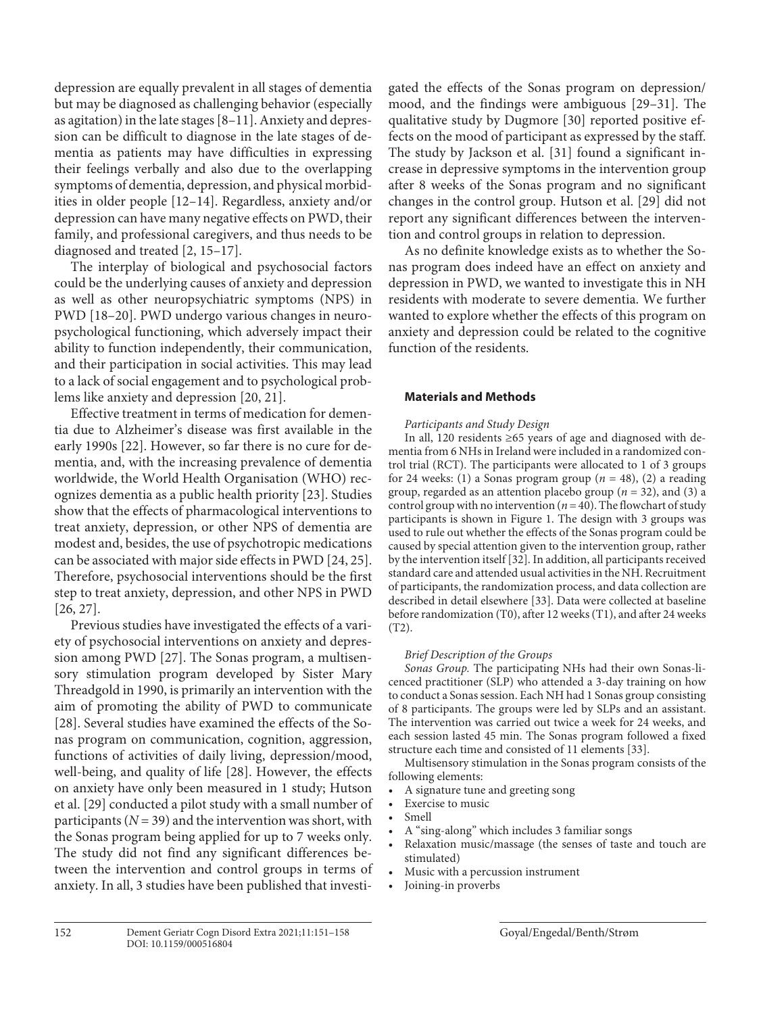<span id="page-1-0"></span>depression are equally prevalent in all stages of dementia but may be diagnosed as challenging behavior (especially as agitation) in the late stages [[8–](#page-6-4)[11](#page-6-0)]. Anxiety and depression can be difficult to diagnose in the late stages of dementia as patients may have difficulties in expressing their feelings verbally and also due to the overlapping symptoms of dementia, depression, and physical morbidities in older people [[1](#page-6-0)[2](#page-6-5)–[1](#page-6-0)[4](#page-6-6)]. Regardless, anxiety and/or depression can have many negative effects on PWD, their family, and professional caregivers, and thus needs to be diagnosed and treated [\[2](#page-6-5), [1](#page-6-0)[5–](#page-6-1)[1](#page-6-0)[7](#page-6-3)].

<span id="page-1-3"></span><span id="page-1-2"></span><span id="page-1-1"></span>The interplay of biological and psychosocial factors could be the underlying causes of anxiety and depression as well as other neuropsychiatric symptoms (NPS) in PWD [[1](#page-6-0)[8](#page-6-4)[–2](#page-6-5)0]. PWD undergo various changes in neuropsychological functioning, which adversely impact their ability to function independently, their communication, and their participation in social activities. This may lead to a lack of social engagement and to psychological problems like anxiety and depression [[20](#page-6-5), [2](#page-6-5)[1\]](#page-6-0).

<span id="page-1-6"></span><span id="page-1-5"></span><span id="page-1-4"></span>Effective treatment in terms of medication for dementia due to Alzheimer's disease was first available in the early 1990s [\[22\]](#page-6-5). However, so far there is no cure for dementia, and, with the increasing prevalence of dementia worldwide, the World Health Organisation (WHO) recognizes dementia as a public health priority [\[2](#page-6-5)[3\]](#page-6-7). Studies show that the effects of pharmacological interventions to treat anxiety, depression, or other NPS of dementia are modest and, besides, the use of psychotropic medications can be associated with major side effects in PWD [\[2](#page-6-5)[4,](#page-6-6) [2](#page-6-5)[5\]](#page-6-1). Therefore, psychosocial interventions should be the first step to treat anxiety, depression, and other NPS in PWD [\[2](#page-6-5)[6,](#page-6-2) [2](#page-6-5)[7](#page-6-3)].

<span id="page-1-10"></span><span id="page-1-9"></span><span id="page-1-8"></span><span id="page-1-7"></span>Previous studies have investigated the effects of a variety of psychosocial interventions on anxiety and depression among PWD [[2](#page-6-5)[7](#page-6-3)]. The Sonas program, a multisensory stimulation program developed by Sister Mary Threadgold in 1990, is primarily an intervention with the aim of promoting the ability of PWD to communicate [\[2](#page-6-5)[8\]](#page-6-4). Several studies have examined the effects of the Sonas program on communication, cognition, aggression, functions of activities of daily living, depression/mood, well-being, and quality of life [\[2](#page-6-5)[8](#page-6-4)]. However, the effects on anxiety have only been measured in 1 study; Hutson et al. [[2](#page-6-5)[9](#page-6-8)] conducted a pilot study with a small number of participants  $(N = 39)$  and the intervention was short, with the Sonas program being applied for up to 7 weeks only. The study did not find any significant differences between the intervention and control groups in terms of anxiety. In all, 3 studies have been published that investi<span id="page-1-11"></span>gated the effects of the Sonas program on depression/ mood, and the findings were ambiguous [\[2](#page-6-5)[9–](#page-6-8)[3](#page-6-7)[1\]](#page-6-0). The qualitative study by Dugmore [\[30](#page-6-7)] reported positive effects on the mood of participant as expressed by the staff. The study by Jackson et al. [[3](#page-6-7)[1](#page-6-0)] found a significant increase in depressive symptoms in the intervention group after 8 weeks of the Sonas program and no significant changes in the control group. Hutson et al. [[2](#page-6-5)[9](#page-6-8)] did not report any significant differences between the intervention and control groups in relation to depression.

As no definite knowledge exists as to whether the Sonas program does indeed have an effect on anxiety and depression in PWD, we wanted to investigate this in NH residents with moderate to severe dementia. We further wanted to explore whether the effects of this program on anxiety and depression could be related to the cognitive function of the residents.

## **Materials and Methods**

## *Participants and Study Design*

In all, 120 residents ≥65 years of age and diagnosed with dementia from 6 NHs in Ireland were included in a randomized control trial (RCT). The participants were allocated to 1 of 3 groups for 24 weeks: (1) a Sonas program group ( $n = 48$ ), (2) a reading group, regarded as an attention placebo group (*n* = 32), and (3) a control group with no intervention ( $n = 40$ ). The flowchart of study participants is shown in Figure 1. The design with 3 groups was used to rule out whether the effects of the Sonas program could be caused by special attention given to the intervention group, rather by the intervention itself [[3](#page-6-7)[2\]](#page-6-5). In addition, all participants received standard care and attended usual activities in the NH. Recruitment of participants, the randomization process, and data collection are described in detail elsewhere [[33](#page-6-7)]. Data were collected at baseline before randomization (T0), after 12 weeks (T1), and after 24 weeks (T2).

## *Brief Description of the Groups*

*Sonas Group.* The participating NHs had their own Sonas-licenced practitioner (SLP) who attended a 3-day training on how to conduct a Sonas session. Each NH had 1 Sonas group consisting of 8 participants. The groups were led by SLPs and an assistant. The intervention was carried out twice a week for 24 weeks, and each session lasted 45 min. The Sonas program followed a fixed structure each time and consisted of 11 elements [\[33](#page-6-7)].

Multisensory stimulation in the Sonas program consists of the following elements:

- A signature tune and greeting song
- Exercise to music
- Smell
	- A "sing-along" which includes 3 familiar songs
	- Relaxation music/massage (the senses of taste and touch are stimulated)
- Music with a percussion instrument
- Joining-in proverbs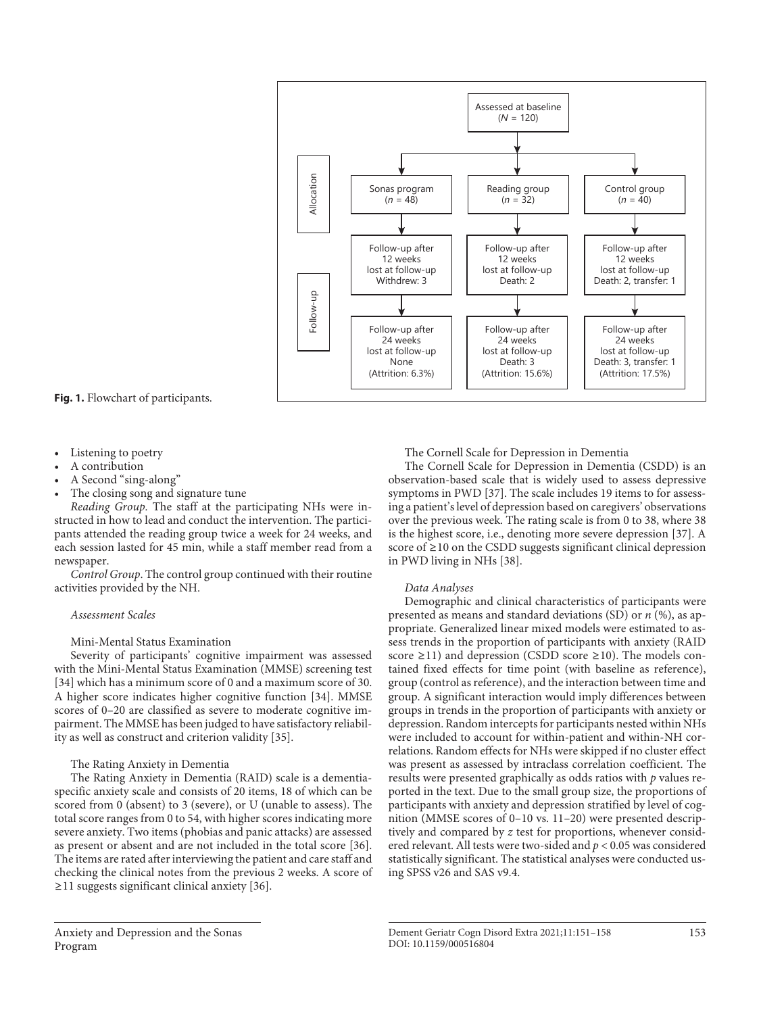

**Fig. 1.** Flowchart of participants.

- Listening to poetry
- A contribution
- A Second "sing-along"
- The closing song and signature tune

*Reading Group.* The staff at the participating NHs were instructed in how to lead and conduct the intervention. The participants attended the reading group twice a week for 24 weeks, and each session lasted for 45 min, while a staff member read from a newspaper.

*Control Group*. The control group continued with their routine activities provided by the NH.

#### *Assessment Scales*

Mini-Mental Status Examination

Severity of participants' cognitive impairment was assessed with the Mini-Mental Status Examination (MMSE) screening test [[3](#page-6-7)[4\]](#page-6-6) which has a minimum score of 0 and a maximum score of 30. A higher score indicates higher cognitive function [[3](#page-6-7)[4\]](#page-6-6). MMSE scores of 0–20 are classified as severe to moderate cognitive impairment. The MMSE has been judged to have satisfactory reliability as well as construct and criterion validity [\[3](#page-6-7)[5](#page-6-1)].

## The Rating Anxiety in Dementia

The Rating Anxiety in Dementia (RAID) scale is a dementiaspecific anxiety scale and consists of 20 items, 18 of which can be scored from 0 (absent) to 3 (severe), or U (unable to assess). The total score ranges from 0 to 54, with higher scores indicating more severe anxiety. Two items (phobias and panic attacks) are assessed as present or absent and are not included in the total score [[3](#page-6-7)[6\]](#page-6-2). The items are rated after interviewing the patient and care staff and checking the clinical notes from the previous 2 weeks. A score of ≥11 suggests significant clinical anxiety [\[3](#page-6-7)[6](#page-6-2)].

#### The Cornell Scale for Depression in Dementia

The Cornell Scale for Depression in Dementia (CSDD) is an observation-based scale that is widely used to assess depressive symptoms in PWD [\[3](#page-6-7)[7\]](#page-6-3). The scale includes 19 items to for assessing a patient's level of depression based on caregivers' observations over the previous week. The rating scale is from 0 to 38, where 38 is the highest score, i.e., denoting more severe depression [\[3](#page-6-7)[7](#page-6-3)]. A score of ≥10 on the CSDD suggests significant clinical depression in PWD living in NHs [\[3](#page-6-7)[8\]](#page-6-4).

#### *Data Analyses*

Demographic and clinical characteristics of participants were presented as means and standard deviations (SD) or *n* (%), as appropriate. Generalized linear mixed models were estimated to assess trends in the proportion of participants with anxiety (RAID score  $\geq$ 11) and depression (CSDD score  $\geq$ 10). The models contained fixed effects for time point (with baseline as reference), group (control as reference), and the interaction between time and group. A significant interaction would imply differences between groups in trends in the proportion of participants with anxiety or depression. Random intercepts for participants nested within NHs were included to account for within-patient and within-NH correlations. Random effects for NHs were skipped if no cluster effect was present as assessed by intraclass correlation coefficient. The results were presented graphically as odds ratios with *p* values reported in the text. Due to the small group size, the proportions of participants with anxiety and depression stratified by level of cognition (MMSE scores of 0–10 vs. 11–20) were presented descriptively and compared by *z* test for proportions, whenever considered relevant. All tests were two-sided and *p* < 0.05 was considered statistically significant. The statistical analyses were conducted using SPSS v26 and SAS v9.4.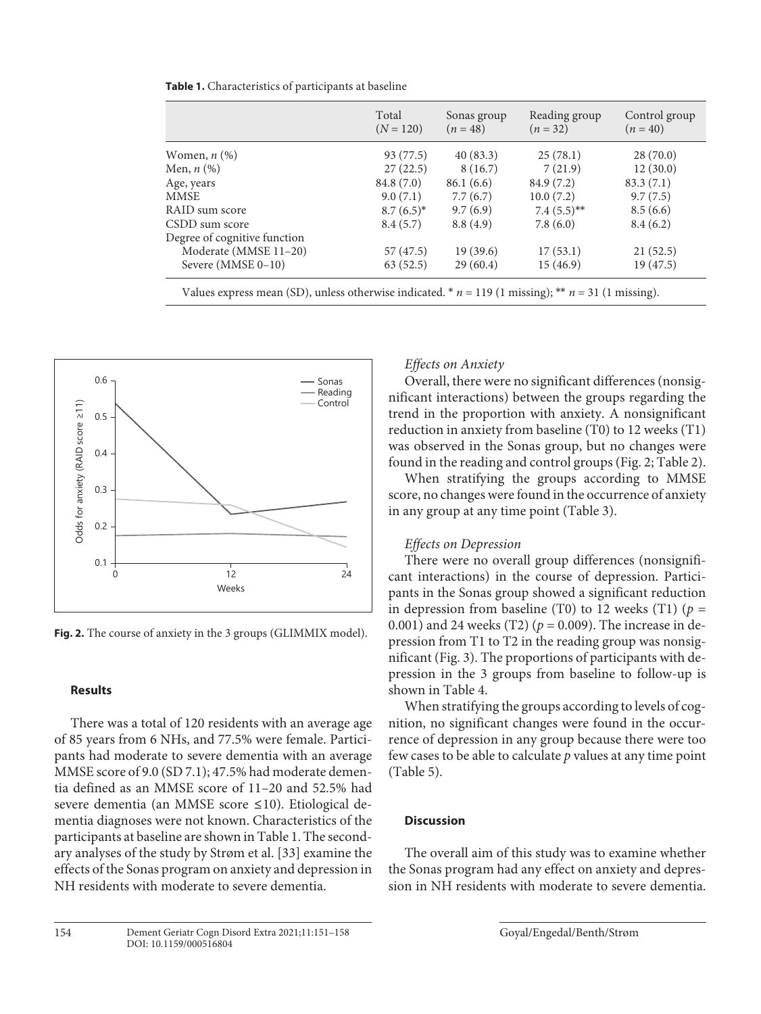|                                                                                                    | Total<br>$(N = 120)$ | Sonas group<br>$(n = 48)$ | Reading group<br>$(n=32)$ | Control group<br>$(n = 40)$ |  |
|----------------------------------------------------------------------------------------------------|----------------------|---------------------------|---------------------------|-----------------------------|--|
| Women, $n$ $(\%)$                                                                                  | 93 (77.5)            | 40(83.3)                  | 25(78.1)                  | 28(70.0)                    |  |
| Men, $n$ (%)                                                                                       | 27(22.5)             | 8(16.7)                   | 7(21.9)                   | 12(30.0)                    |  |
| Age, years                                                                                         | 84.8 (7.0)           | 86.1(6.6)                 | 84.9 (7.2)                | 83.3(7.1)                   |  |
| MMSE                                                                                               | 9.0(7.1)             | 7.7(6.7)                  | 10.0(7.2)                 | 9.7(7.5)                    |  |
| RAID sum score                                                                                     | $8.7(6.5)^*$         | 9.7(6.9)                  | $7.4(5.5)$ **             | 8.5(6.6)                    |  |
| CSDD sum score                                                                                     | 8.4(5.7)             | 8.8(4.9)                  | 7.8(6.0)                  | 8.4(6.2)                    |  |
| Degree of cognitive function                                                                       |                      |                           |                           |                             |  |
| Moderate (MMSE 11-20)                                                                              | 57 (47.5)            | 19(39.6)                  | 17(53.1)                  | 21(52.5)                    |  |
| Severe $(MMSE 0-10)$                                                                               | 63(52.5)             | 29(60.4)                  | 15(46.9)                  | 19(47.5)                    |  |
| Values express mean (SD), unless otherwise indicated. $n = 119$ (1 missing); $n = 31$ (1 missing). |                      |                           |                           |                             |  |



**Fig. 2.** The course of anxiety in the 3 groups (GLIMMIX model).

## **Results**

There was a total of 120 residents with an average age of 85 years from 6 NHs, and 77.5% were female. Participants had moderate to severe dementia with an average MMSE score of 9.0 (SD 7.1); 47.5% had moderate dementia defined as an MMSE score of 11–20 and 52.5% had severe dementia (an MMSE score ≤10). Etiological dementia diagnoses were not known. Characteristics of the participants at baseline are shown in Table 1. The secondary analyses of the study by Strøm et al. [[33](#page-6-7)] examine the effects of the Sonas program on anxiety and depression in NH residents with moderate to severe dementia.

# *Effects on Anxiety*

Overall, there were no significant differences (nonsignificant interactions) between the groups regarding the trend in the proportion with anxiety. A nonsignificant reduction in anxiety from baseline (T0) to 12 weeks (T1) was observed in the Sonas group, but no changes were found in the reading and control groups (Fig. 2; Table 2).

When stratifying the groups according to MMSE score, no changes were found in the occurrence of anxiety in any group at any time point (Table 3).

# *Effects on Depression*

There were no overall group differences (nonsignificant interactions) in the course of depression. Participants in the Sonas group showed a significant reduction in depression from baseline (T0) to 12 weeks (T1)  $(p =$ 0.001) and 24 weeks (T2) ( $p = 0.009$ ). The increase in depression from T1 to T2 in the reading group was nonsignificant (Fig. 3). The proportions of participants with depression in the 3 groups from baseline to follow-up is shown in Table 4.

When stratifying the groups according to levels of cognition, no significant changes were found in the occurrence of depression in any group because there were too few cases to be able to calculate *p* values at any time point (Table 5).

## **Discussion**

The overall aim of this study was to examine whether the Sonas program had any effect on anxiety and depression in NH residents with moderate to severe dementia.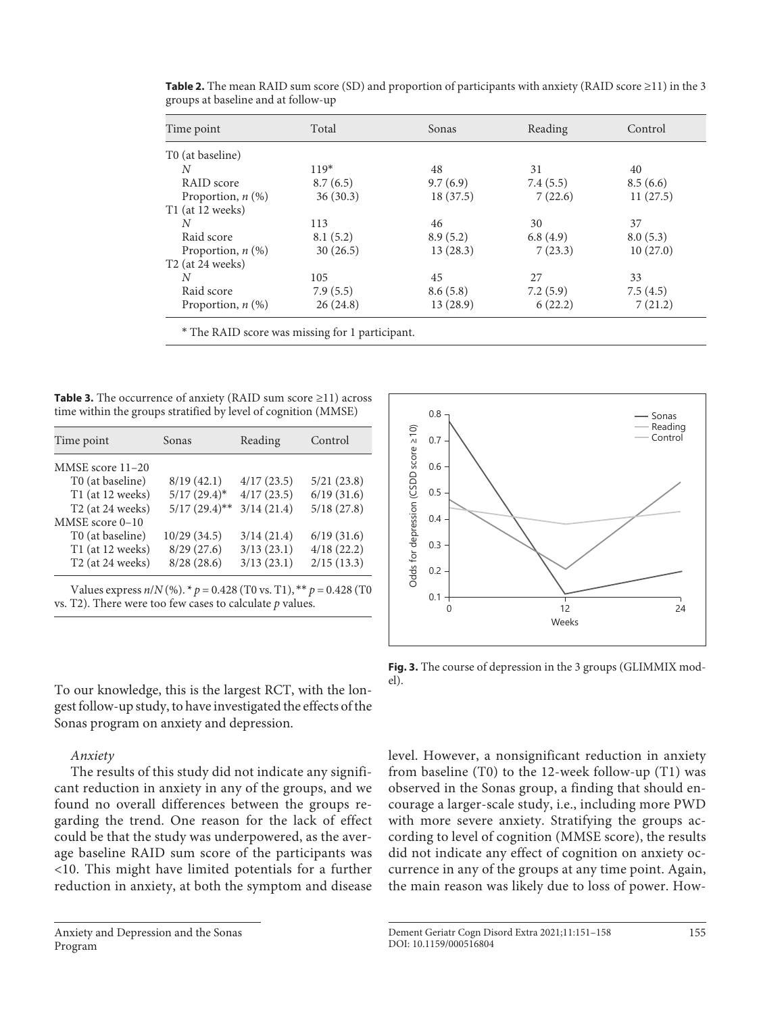| Time point                   | Total    | Sonas    | Reading  | Control  |
|------------------------------|----------|----------|----------|----------|
| T0 (at baseline)             |          |          |          |          |
| N                            | $119*$   | 48       | 31       | 40       |
| RAID score                   | 8.7(6.5) | 9.7(6.9) | 7.4(5.5) | 8.5(6.6) |
| Proportion, $n$ (%)          | 36(30.3) | 18(37.5) | 7(22.6)  | 11(27.5) |
| T1 (at 12 weeks)             |          |          |          |          |
| N                            | 113      | 46       | 30       | 37       |
| Raid score                   | 8.1(5.2) | 8.9(5.2) | 6.8(4.9) | 8.0(5.3) |
| Proportion, $n$ (%)          | 30(26.5) | 13(28.3) | 7(23.3)  | 10(27.0) |
| T <sub>2</sub> (at 24 weeks) |          |          |          |          |
| N                            | 105      | 45       | 27       | 33       |
| Raid score                   | 7.9(5.5) | 8.6(5.8) | 7.2(5.9) | 7.5(4.5) |
| Proportion, $n$ (%)          | 26(24.8) | 13(28.9) | 6(22.2)  | 7(21.2)  |

**Table 2.** The mean RAID sum score (SD) and proportion of participants with anxiety (RAID score ≥11) in the 3 groups at baseline and at follow-up

\* The RAID score was missing for 1 participant.

**Table 3.** The occurrence of anxiety (RAID sum score ≥11) across time within the groups stratified by level of cognition (MMSE)

| Time point                                                                                                                            | Sonas           | Reading    | Control    |  |
|---------------------------------------------------------------------------------------------------------------------------------------|-----------------|------------|------------|--|
| MMSE score 11-20                                                                                                                      |                 |            |            |  |
| T0 (at baseline)                                                                                                                      | 8/19(42.1)      | 4/17(23.5) | 5/21(23.8) |  |
| T1 (at 12 weeks)                                                                                                                      | $5/17(29.4)^*$  | 4/17(23.5) | 6/19(31.6) |  |
| T <sub>2</sub> (at 24 weeks)                                                                                                          | $5/17(29.4)$ ** | 3/14(21.4) | 5/18(27.8) |  |
| MMSE score $0-10$                                                                                                                     |                 |            |            |  |
| T0 (at baseline)                                                                                                                      | 10/29(34.5)     | 3/14(21.4) | 6/19(31.6) |  |
| T1 (at 12 weeks)                                                                                                                      | 8/29(27.6)      | 3/13(23.1) | 4/18(22.2) |  |
| T <sub>2</sub> (at 24 weeks)                                                                                                          | 8/28(28.6)      | 3/13(23.1) | 2/15(13.3) |  |
| Values express $n/N$ (%). * $p = 0.428$ (T0 vs. T1), ** $p = 0.428$ (T0<br>vs. T2). There were too few cases to calculate $p$ values. |                 |            |            |  |

To our knowledge, this is the largest RCT, with the longest follow-up study, to have investigated the effects of the Sonas program on anxiety and depression.

## *Anxiety*

The results of this study did not indicate any significant reduction in anxiety in any of the groups, and we found no overall differences between the groups regarding the trend. One reason for the lack of effect could be that the study was underpowered, as the average baseline RAID sum score of the participants was <10. This might have limited potentials for a further reduction in anxiety, at both the symptom and disease



**Fig. 3.** The course of depression in the 3 groups (GLIMMIX model).

level. However, a nonsignificant reduction in anxiety from baseline (T0) to the 12-week follow-up (T1) was observed in the Sonas group, a finding that should encourage a larger-scale study, i.e., including more PWD with more severe anxiety. Stratifying the groups according to level of cognition (MMSE score), the results did not indicate any effect of cognition on anxiety occurrence in any of the groups at any time point. Again, the main reason was likely due to loss of power. How-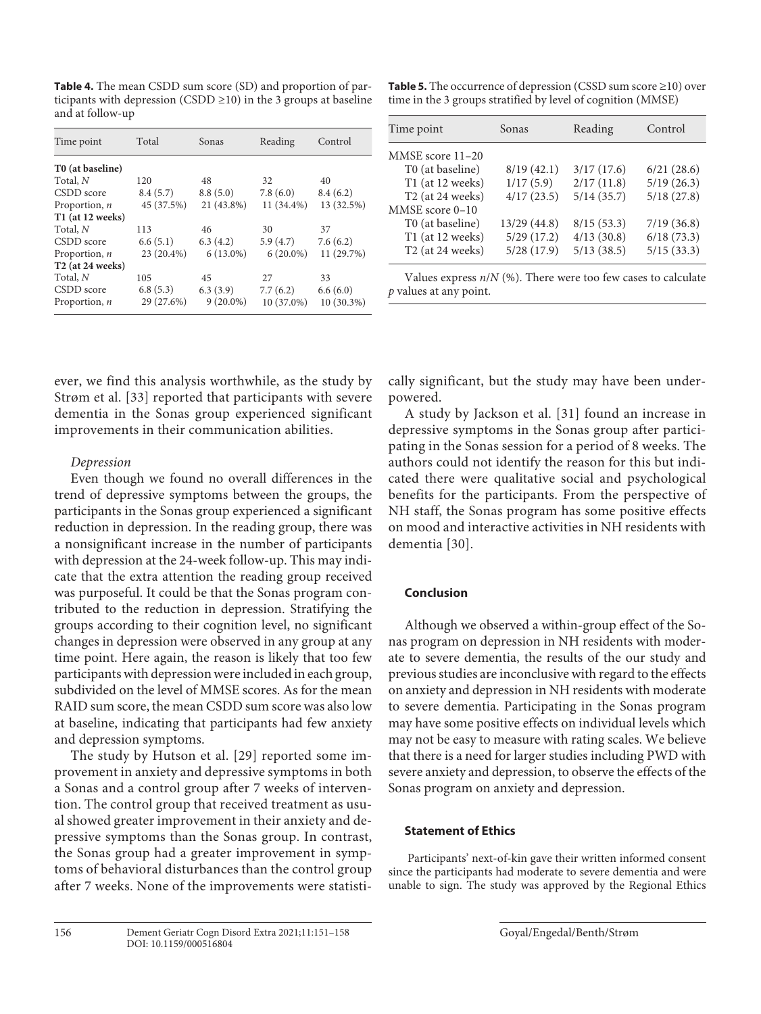**Table 4.** The mean CSDD sum score (SD) and proportion of participants with depression (CSDD  $\geq$ 10) in the 3 groups at baseline and at follow-up

| Time point                   | Total      | Sonas       | Reading     | Control    |
|------------------------------|------------|-------------|-------------|------------|
| T0 (at baseline)             |            |             |             |            |
| Total, N                     | 120        | 48          | 32          | 40         |
| CSDD score                   | 8.4(5.7)   | 8.8(5.0)    | 7.8(6.0)    | 8.4(6.2)   |
| Proportion, $n$              | 45 (37.5%) | 21 (43.8%)  | 11 (34.4%)  | 13 (32.5%) |
| T1 (at 12 weeks)             |            |             |             |            |
| Total, N                     | 113        | 46          | 30          | 37         |
| CSDD score                   | 6.6(5.1)   | 6.3(4.2)    | 5.9(4.7)    | 7.6(6.2)   |
| Proportion, n                | 23 (20.4%) | $6(13.0\%)$ | $6(20.0\%)$ | 11 (29.7%) |
| T <sub>2</sub> (at 24 weeks) |            |             |             |            |
| Total, N                     | 105        | 45          | 27          | 33         |
| CSDD score                   | 6.8(5.3)   | 6.3(3.9)    | 7.7(6.2)    | 6.6(6.0)   |
| Proportion, $n$              | 29 (27.6%) | $9(20.0\%)$ | 10 (37.0%)  | 10 (30.3%) |

**Table 5.** The occurrence of depression (CSSD sum score ≥10) over time in the 3 groups stratified by level of cognition (MMSE)

| Time point                   | Sonas       | Reading    | Control    |
|------------------------------|-------------|------------|------------|
| MMSE score 11-20             |             |            |            |
| T0 (at baseline)             | 8/19(42.1)  | 3/17(17.6) | 6/21(28.6) |
| T1 (at 12 weeks)             | 1/17(5.9)   | 2/17(11.8) | 5/19(26.3) |
| T <sub>2</sub> (at 24 weeks) | 4/17(23.5)  | 5/14(35.7) | 5/18(27.8) |
| MMSE score 0-10              |             |            |            |
| T0 (at baseline)             | 13/29(44.8) | 8/15(53.3) | 7/19(36.8) |
| T1 (at 12 weeks)             | 5/29(17.2)  | 4/13(30.8) | 6/18(73.3) |
| T <sub>2</sub> (at 24 weeks) | 5/28(17.9)  | 5/13(38.5) | 5/15(33.3) |
|                              |             |            |            |

Values express *n*/*N* (%). There were too few cases to calculate *p* values at any point.

ever, we find this analysis worthwhile, as the study by Strøm et al. [[33\]](#page-6-7) reported that participants with severe dementia in the Sonas group experienced significant improvements in their communication abilities.

## *Depression*

Even though we found no overall differences in the trend of depressive symptoms between the groups, the participants in the Sonas group experienced a significant reduction in depression. In the reading group, there was a nonsignificant increase in the number of participants with depression at the 24-week follow-up. This may indicate that the extra attention the reading group received was purposeful. It could be that the Sonas program contributed to the reduction in depression. Stratifying the groups according to their cognition level, no significant changes in depression were observed in any group at any time point. Here again, the reason is likely that too few participants with depression were included in each group, subdivided on the level of MMSE scores. As for the mean RAID sum score, the mean CSDD sum score was also low at baseline, indicating that participants had few anxiety and depression symptoms.

The study by Hutson et al. [[2](#page-6-5)[9](#page-6-8)] reported some improvement in anxiety and depressive symptoms in both a Sonas and a control group after 7 weeks of intervention. The control group that received treatment as usual showed greater improvement in their anxiety and depressive symptoms than the Sonas group. In contrast, the Sonas group had a greater improvement in symptoms of behavioral disturbances than the control group after 7 weeks. None of the improvements were statistically significant, but the study may have been underpowered.

A study by Jackson et al. [\[3](#page-6-7)[1](#page-6-0)] found an increase in depressive symptoms in the Sonas group after participating in the Sonas session for a period of 8 weeks. The authors could not identify the reason for this but indicated there were qualitative social and psychological benefits for the participants. From the perspective of NH staff, the Sonas program has some positive effects on mood and interactive activities in NH residents with dementia [\[30](#page-6-7)].

## **Conclusion**

Although we observed a within-group effect of the Sonas program on depression in NH residents with moderate to severe dementia, the results of the our study and previous studies are inconclusive with regard to the effects on anxiety and depression in NH residents with moderate to severe dementia. Participating in the Sonas program may have some positive effects on individual levels which may not be easy to measure with rating scales. We believe that there is a need for larger studies including PWD with severe anxiety and depression, to observe the effects of the Sonas program on anxiety and depression.

## **Statement of Ethics**

 Participants' next-of-kin gave their written informed consent since the participants had moderate to severe dementia and were unable to sign. The study was approved by the Regional Ethics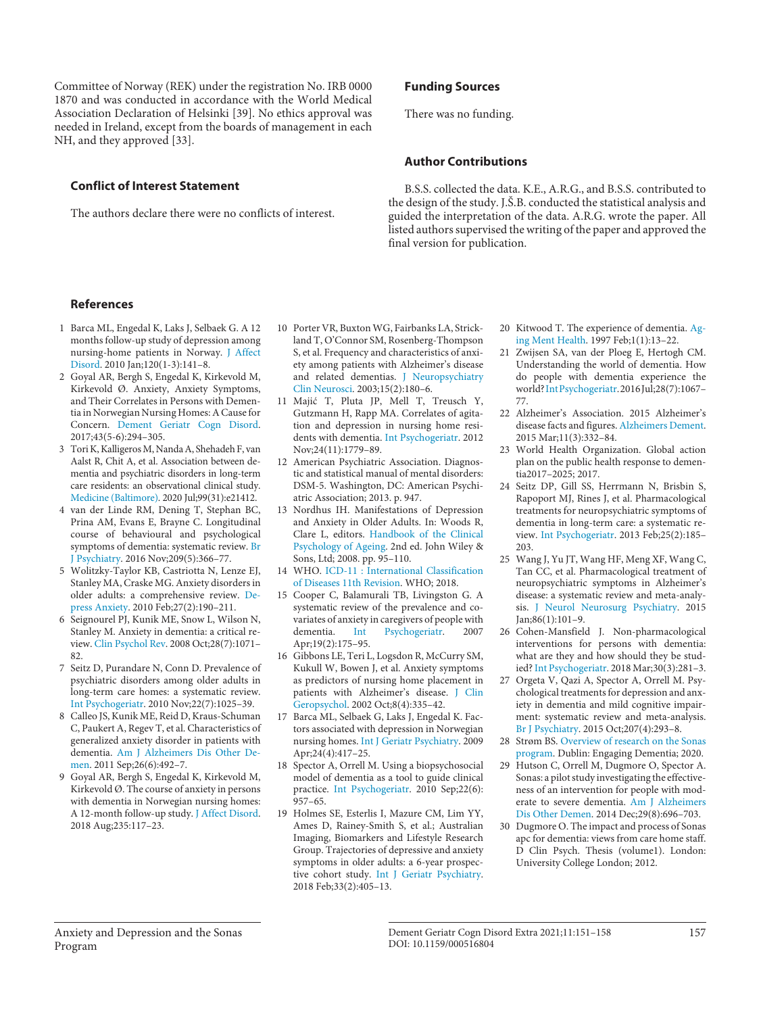Committee of Norway (REK) under the registration No. IRB 0000 1870 and was conducted in accordance with the World Medical Association Declaration of Helsinki [\[3](#page-6-7)[9](#page-6-8)]. No ethics approval was needed in Ireland, except from the boards of management in each NH, and they approved [[33\]](#page-6-7).

## **Conflict of Interest Statement**

The authors declare there were no conflicts of interest.

## **Funding Sources**

There was no funding.

## **Author Contributions**

B.S.S. collected the data. K.E., A.R.G., and B.S.S. contributed to the design of the study. J.Š.B. conducted the statistical analysis and guided the interpretation of the data. A.R.G. wrote the paper. All listed authors supervised the writing of the paper and approved the final version for publication.

## **References**

- <span id="page-6-0"></span>[1](#page-0-0) Barca ML, Engedal K, Laks J, Selbaek G. A 12 months follow-up study of depression among nursing-home patients in Norway. [J Affect](https://www.karger.com/Article/FullText/516804?ref=1#ref1) [Disord](https://www.karger.com/Article/FullText/516804?ref=1#ref1). 2010 Jan;120(1-3):141–8.
- <span id="page-6-5"></span>[2](#page-0-0) Goyal AR, Bergh S, Engedal K, Kirkevold M, Kirkevold Ø. Anxiety, Anxiety Symptoms, and Their Correlates in Persons with Dementia in Norwegian Nursing Homes: A Cause for Concern. [Dement Geriatr Cogn Disord](https://www.karger.com/Article/FullText/516804?ref=2#ref2). 2017;43(5-6):294–305.
- <span id="page-6-7"></span>[3](#page-0-0) Tori K, Kalligeros M, Nanda A, Shehadeh F, van Aalst R, Chit A, et al. Association between dementia and psychiatric disorders in long-term care residents: an observational clinical study. [Medicine \(Baltimore\).](https://www.karger.com/Article/FullText/516804?ref=3#ref3) 2020 Jul;99(31):e21412.
- <span id="page-6-6"></span>[4](#page-0-0) van der Linde RM, Dening T, Stephan BC, Prina AM, Evans E, Brayne C. Longitudinal course of behavioural and psychological symptoms of dementia: systematic review. [Br](https://www.karger.com/Article/FullText/516804?ref=4#ref4) [J Psychiatry](https://www.karger.com/Article/FullText/516804?ref=4#ref4). 2016 Nov;209(5):366–77.
- <span id="page-6-1"></span>[5](#page-0-0) Wolitzky-Taylor KB, Castriotta N, Lenze EJ, Stanley MA, Craske MG. Anxiety disorders in older adults: a comprehensive review. [De](https://www.karger.com/Article/FullText/516804?ref=5#ref5)[press Anxiety](https://www.karger.com/Article/FullText/516804?ref=5#ref5). 2010 Feb;27(2):190–211.
- <span id="page-6-2"></span>[6](#page-0-1) Seignourel PJ, Kunik ME, Snow L, Wilson N, Stanley M. Anxiety in dementia: a critical review. [Clin Psychol Rev.](https://www.karger.com/Article/FullText/516804?ref=6#ref6) 2008 Oct;28(7):1071– 82.
- <span id="page-6-3"></span>[7](#page-0-1) Seitz D, Purandare N, Conn D. Prevalence of psychiatric disorders among older adults in long-term care homes: a systematic review. [Int Psychogeriatr](https://www.karger.com/Article/FullText/516804?ref=7#ref7). 2010 Nov;22(7):1025–39.
- <span id="page-6-4"></span>[8](#page-1-0) Calleo JS, Kunik ME, Reid D, Kraus-Schuman C, Paukert A, Regev T, et al. Characteristics of generalized anxiety disorder in patients with dementia. [Am J Alzheimers Dis Other De](https://www.karger.com/Article/FullText/516804?ref=8#ref8)[men](https://www.karger.com/Article/FullText/516804?ref=8#ref8). 2011 Sep;26(6):492–7.
- <span id="page-6-8"></span>[9](#page-1-0) Goyal AR, Bergh S, Engedal K, Kirkevold M, Kirkevold Ø. The course of anxiety in persons with dementia in Norwegian nursing homes: A 12-month follow-up study. [J Affect Disord](https://www.karger.com/Article/FullText/516804?ref=9#ref9). 2018 Aug;235:117–23.
- [10](#page-1-0) Porter VR, Buxton WG, Fairbanks LA, Strickland T, O'Connor SM, Rosenberg-Thompson S, et al. Frequency and characteristics of anxiety among patients with Alzheimer's disease and related dementias. [J Neuropsychiatry](https://www.karger.com/Article/FullText/516804?ref=10#ref10) [Clin Neurosci.](https://www.karger.com/Article/FullText/516804?ref=10#ref10) 2003;15(2):180–6.
- [11](#page-1-0) Majić T, Pluta JP, Mell T, Treusch Y, Gutzmann H, Rapp MA. Correlates of agitation and depression in nursing home residents with dementia. [Int Psychogeriatr.](https://www.karger.com/Article/FullText/516804?ref=11#ref11) 2012 Nov;24(11):1779–89.
- [12](#page-1-1) American Psychiatric Association. Diagnostic and statistical manual of mental disorders: DSM-5. Washington, DC: American Psychiatric Association; 2013. p. 947.
- [13](#page-1-1) Nordhus IH. Manifestations of Depression and Anxiety in Older Adults. In: Woods R, Clare L, editors. [Handbook of the Clinical](https://www.karger.com/Article/FullText/516804?ref=13#ref13) [Psychology of Ageing.](https://www.karger.com/Article/FullText/516804?ref=13#ref13) 2nd ed. John Wiley & Sons, Ltd; 2008. pp. 95–110.
- [14](#page-1-1) WHO. [ICD-11 : International Classification](https://www.karger.com/Article/FullText/516804?ref=14#ref14) [of Diseases 11th Revision](https://www.karger.com/Article/FullText/516804?ref=14#ref14). WHO; 2018.
- [15](#page-1-2) Cooper C, Balamurali TB, Livingston G. A systematic review of the prevalence and covariates of anxiety in caregivers of people with<br>dementia. Int Psychogeriatr. 2007 Psychogeriatr. 2007 Apr;19(2):175–95.
- 16 Gibbons LE, Teri L, Logsdon R, McCurry SM, Kukull W, Bowen J, et al. Anxiety symptoms as predictors of nursing home placement in patients with Alzheimer's disease. [J Clin](https://www.karger.com/Article/FullText/516804?ref=16#ref16) [Geropsychol.](https://www.karger.com/Article/FullText/516804?ref=16#ref16) 2002 Oct;8(4):335–42.
- [17](#page-1-2) Barca ML, Selbaek G, Laks J, Engedal K. Factors associated with depression in Norwegian nursing homes. [Int J Geriatr Psychiatry.](https://www.karger.com/Article/FullText/516804?ref=17#ref17) 2009 Apr;24(4):417–25.
- [18](#page-1-3) Spector A, Orrell M. Using a biopsychosocial model of dementia as a tool to guide clinical practice. [Int Psychogeriatr](https://www.karger.com/Article/FullText/516804?ref=18#ref18). 2010 Sep;22(6): 957–65.
- [19](#page-1-3) Holmes SE, Esterlis I, Mazure CM, Lim YY, Ames D, Rainey-Smith S, et al.; Australian Imaging, Biomarkers and Lifestyle Research Group. Trajectories of depressive and anxiety symptoms in older adults: a 6-year prospective cohort study. [Int J Geriatr Psychiatry.](https://www.karger.com/Article/FullText/516804?ref=19#ref19) 2018 Feb;33(2):405–13.
- [20](#page-1-3) Kitwood T. The experience of dementia. [Ag](https://www.karger.com/Article/FullText/516804?ref=20#ref20)[ing Ment Health.](https://www.karger.com/Article/FullText/516804?ref=20#ref20) 1997 Feb;1(1):13–22.
- [21](#page-1-4) Zwijsen SA, van der Ploeg E, Hertogh CM. Understanding the world of dementia. How do people with dementia experience the world? [Int Psychogeriatr](https://www.karger.com/Article/FullText/516804?ref=21#ref21). 2016 Jul;28(7):1067– 77.
- [22](#page-1-5) Alzheimer's Association. 2015 Alzheimer's disease facts and figures. [Alzheimers Dement.](https://www.karger.com/Article/FullText/516804?ref=22#ref22) 2015 Mar;11(3):332–84.
- [23](#page-1-6) World Health Organization. Global action plan on the public health response to dementia2017–2025; 2017.
- [24](#page-1-7) Seitz DP, Gill SS, Herrmann N, Brisbin S, Rapoport MJ, Rines J, et al. Pharmacological treatments for neuropsychiatric symptoms of dementia in long-term care: a systematic review. [Int Psychogeriatr.](https://www.karger.com/Article/FullText/516804?ref=24#ref24) 2013 Feb;25(2):185– 203.
- [25](#page-1-7) Wang J, Yu JT, Wang HF, Meng XF, Wang C, Tan CC, et al. Pharmacological treatment of neuropsychiatric symptoms in Alzheimer's disease: a systematic review and meta-analysis. [J Neurol Neurosurg Psychiatry](https://www.karger.com/Article/FullText/516804?ref=25#ref25). 2015 Jan;86(1):101–9.
- [26](#page-1-8) Cohen-Mansfield J. Non-pharmacological interventions for persons with dementia: what are they and how should they be studied? [Int Psychogeriatr](https://www.karger.com/Article/FullText/516804?ref=26#ref26). 2018 Mar;30(3):281–3.
- [27](#page-1-8) Orgeta V, Qazi A, Spector A, Orrell M. Psychological treatments for depression and anxiety in dementia and mild cognitive impairment: systematic review and meta-analysis. [Br J Psychiatry.](https://www.karger.com/Article/FullText/516804?ref=27#ref27) 2015 Oct;207(4):293–8.
- [28](#page-1-9) Strøm BS. [Overview of research on the Sonas](https://www.karger.com/Article/FullText/516804?ref=28#ref28)  [program.](https://www.karger.com/Article/FullText/516804?ref=28#ref28) Dublin: Engaging Dementia; 2020.
- [29](#page-1-10) Hutson C, Orrell M, Dugmore O, Spector A. Sonas: a pilot study investigating the effectiveness of an intervention for people with moderate to severe dementia. [Am J Alzheimers](https://www.karger.com/Article/FullText/516804?ref=29#ref29)  [Dis Other Demen.](https://www.karger.com/Article/FullText/516804?ref=29#ref29) 2014 Dec;29(8):696–703.
- [30](#page-1-11) Dugmore O. The impact and process of Sonas apc for dementia: views from care home staff. D Clin Psych. Thesis (volume1). London: University College London; 2012.